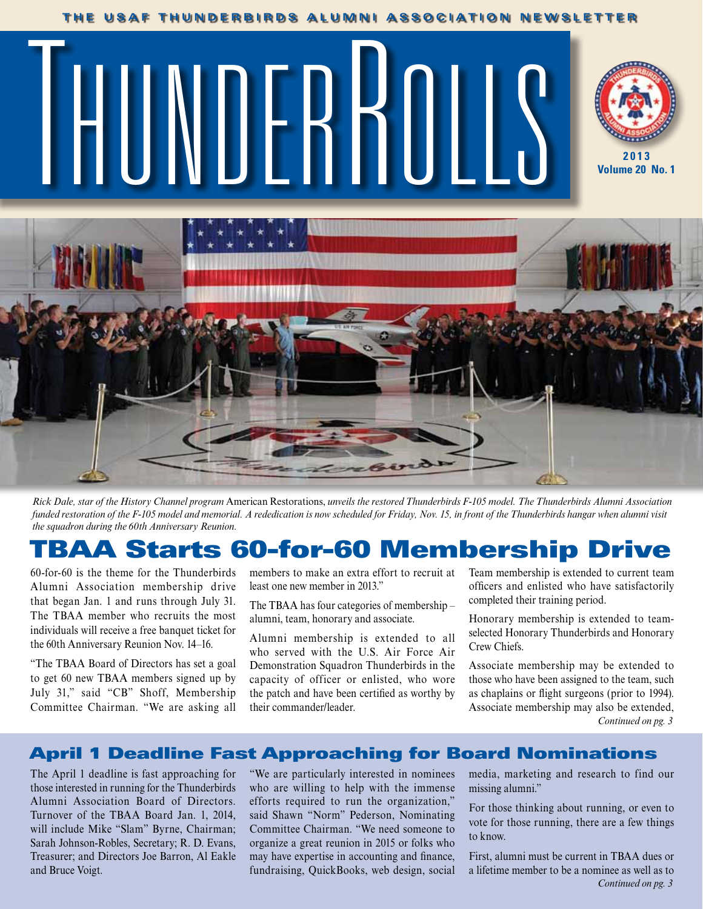#### **THE USAF THUNDERBIRDS ALUMNI ASSOCIATION NEWSLETTER**

# **2013** THUNDERROLLS **WEBSITE**





*Rick Dale, star of the History Channel program* American Restorations, *unveils the restored Thunderbirds F-105 model. The Thunderbirds Alumni Association funded restoration of the F-105 model and memorial. A rededication is now scheduled for Friday, Nov. 15, in front of the Thunderbirds hangar when alumni visit the squadron during the 60th Anniversary Reunion.*

## TBAA Starts 60-for-60 Membership Drive

60-for-60 is the theme for the Thunderbirds Alumni Association membership drive that began Jan. 1 and runs through July 31. The TBAA member who recruits the most individuals will receive a free banquet ticket for the 60th Anniversary Reunion Nov. 14–16.

"The TBAA Board of Directors has set a goal to get 60 new TBAA members signed up by July 31," said "CB" Shoff, Membership Committee Chairman. "We are asking all members to make an extra effort to recruit at least one new member in 2013."

The TBAA has four categories of membership – alumni, team, honorary and associate.

Alumni membership is extended to all who served with the U.S. Air Force Air Demonstration Squadron Thunderbirds in the capacity of officer or enlisted, who wore the patch and have been certified as worthy by their commander/leader.

Team membership is extended to current team officers and enlisted who have satisfactorily completed their training period.

Honorary membership is extended to teamselected Honorary Thunderbirds and Honorary Crew Chiefs.

Associate membership may be extended to those who have been assigned to the team, such as chaplains or flight surgeons (prior to 1994). Associate membership may also be extended, *Continued on pg. 3*

#### April 1 Deadline Fast Approaching for Board Nominations

The April 1 deadline is fast approaching for those interested in running for the Thunderbirds Alumni Association Board of Directors. Turnover of the TBAA Board Jan. 1, 2014, will include Mike "Slam" Byrne, Chairman; Sarah Johnson-Robles, Secretary; R. D. Evans, Treasurer; and Directors Joe Barron, Al Eakle and Bruce Voigt.

"We are particularly interested in nominees who are willing to help with the immense efforts required to run the organization," said Shawn "Norm" Pederson, Nominating Committee Chairman. "We need someone to organize a great reunion in 2015 or folks who may have expertise in accounting and finance, fundraising, QuickBooks, web design, social

media, marketing and research to find our missing alumni."

For those thinking about running, or even to vote for those running, there are a few things to know.

First, alumni must be current in TBAA dues or a lifetime member to be a nominee as well as to *Continued on pg. 3*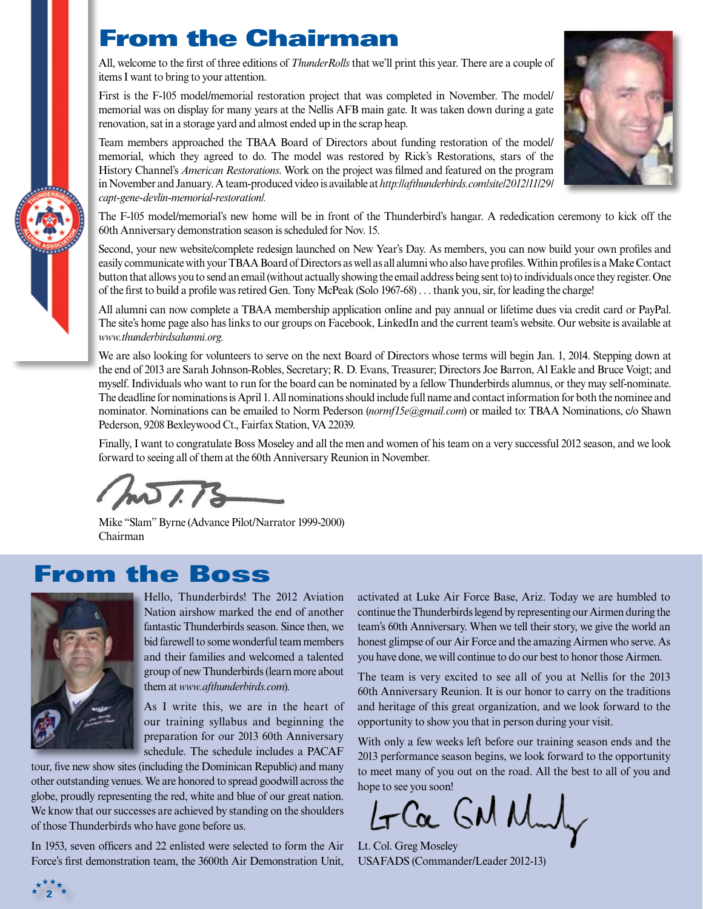## From the Chairman

All, welcome to the first of three editions of *ThunderRolls* that we'll print this year. There are a couple of items I want to bring to your attention.

First is the F-105 model/memorial restoration project that was completed in November. The model/ memorial was on display for many years at the Nellis AFB main gate. It was taken down during a gate renovation, sat in a storage yard and almost ended up in the scrap heap.

Team members approached the TBAA Board of Directors about funding restoration of the model/ memorial, which they agreed to do. The model was restored by Rick's Restorations, stars of the History Channel's *American Restorations*. Work on the project was filmed and featured on the program in November and January. A team-produced video is available at *http://afthunderbirds.com/site/2012/11/29/ capt-gene-devlin-memorial-restoration/.*



Second, your new website/complete redesign launched on New Year's Day. As members, you can now build your own profiles and easily communicate with your TBAA Board of Directors as well as all alumni who also have profiles. Within profiles is a Make Contact button that allows you to send an email (without actually showing the email address being sent to) to individuals once they register. One of the first to build a profile was retired Gen. Tony McPeak (Solo 1967-68) . . . thank you, sir, for leading the charge!

All alumni can now complete a TBAA membership application online and pay annual or lifetime dues via credit card or PayPal. The site's home page also has links to our groups on Facebook, LinkedIn and the current team's website. Our website is available at *www.thunderbirdsalumni.org.*

We are also looking for volunteers to serve on the next Board of Directors whose terms will begin Jan. 1, 2014. Stepping down at the end of 2013 are Sarah Johnson-Robles, Secretary; R. D. Evans, Treasurer; Directors Joe Barron, Al Eakle and Bruce Voigt; and myself. Individuals who want to run for the board can be nominated by a fellow Thunderbirds alumnus, or they may self-nominate. The deadline for nominations is April 1. All nominations should include full name and contact information for both the nominee and nominator. Nominations can be emailed to Norm Pederson (*normf15e@gmail.com*) or mailed to: TBAA Nominations, c/o Shawn Pederson, 9208 Bexleywood Ct., Fairfax Station, VA 22039.

Finally, I want to congratulate Boss Moseley and all the men and women of his team on a very successful 2012 season, and we look forward to seeing all of them at the 60th Anniversary Reunion in November.

 $\overline{1}$ 

Mike "Slam" Byrne (Advance Pilot/Narrator 1999-2000) Chairman

## From the Boss



**2**

Hello, Thunderbirds! The 2012 Aviation Nation airshow marked the end of another fantastic Thunderbirds season. Since then, we bid farewell to some wonderful team members and their families and welcomed a talented group of new Thunderbirds (learn more about them at *www.afthunderbirds.com*).

As I write this, we are in the heart of our training syllabus and beginning the preparation for our 2013 60th Anniversary schedule. The schedule includes a PACAF

tour, five new show sites (including the Dominican Republic) and many other outstanding venues. We are honored to spread goodwill across the globe, proudly representing the red, white and blue of our great nation. We know that our successes are achieved by standing on the shoulders of those Thunderbirds who have gone before us.

In 1953, seven officers and 22 enlisted were selected to form the Air Force's first demonstration team, the 3600th Air Demonstration Unit,

activated at Luke Air Force Base, Ariz. Today we are humbled to continue the Thunderbirds legend by representing our Airmen during the team's 60th Anniversary. When we tell their story, we give the world an honest glimpse of our Air Force and the amazing Airmen who serve. As you have done, we will continue to do our best to honor those Airmen.

The team is very excited to see all of you at Nellis for the 2013 60th Anniversary Reunion. It is our honor to carry on the traditions and heritage of this great organization, and we look forward to the opportunity to show you that in person during your visit.

With only a few weeks left before our training season ends and the 2013 performance season begins, we look forward to the opportunity to meet many of you out on the road. All the best to all of you and hope to see you soon!

Ca GM Mul

Lt. Col. Greg Moseley USAFADS (Commander/Leader 2012-13)



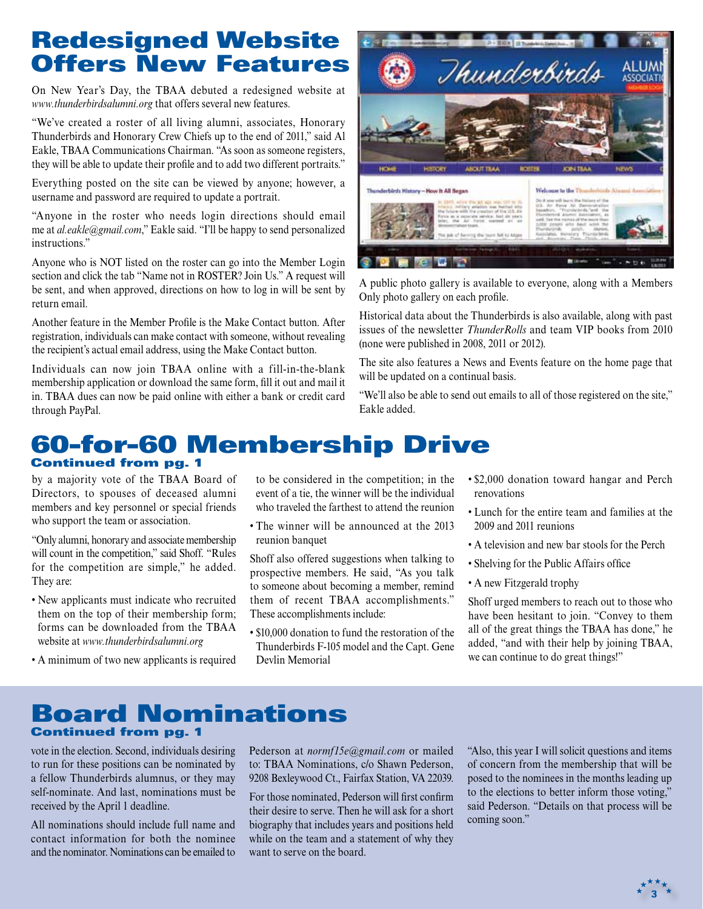## Redesigned Website Offers New Features

On New Year's Day, the TBAA debuted a redesigned website at *www.thunderbirdsalumni.org* that offers several new features.

"We've created a roster of all living alumni, associates, Honorary Thunderbirds and Honorary Crew Chiefs up to the end of 2011," said Al Eakle, TBAA Communications Chairman. "As soon as someone registers, they will be able to update their profile and to add two different portraits."

Everything posted on the site can be viewed by anyone; however, a username and password are required to update a portrait.

"Anyone in the roster who needs login directions should email me at *al.eakle@gmail.com*," Eakle said. "I'll be happy to send personalized instructions."

Anyone who is NOT listed on the roster can go into the Member Login section and click the tab "Name not in ROSTER? Join Us." A request will be sent, and when approved, directions on how to log in will be sent by return email.

Another feature in the Member Profile is the Make Contact button. After registration, individuals can make contact with someone, without revealing the recipient's actual email address, using the Make Contact button.

Individuals can now join TBAA online with a fill-in-the-blank membership application or download the same form, fill it out and mail it in. TBAA dues can now be paid online with either a bank or credit card through PayPal.



A public photo gallery is available to everyone, along with a Members Only photo gallery on each profile.

Historical data about the Thunderbirds is also available, along with past issues of the newsletter *ThunderRolls* and team VIP books from 2010 (none were published in 2008, 2011 or 2012).

The site also features a News and Events feature on the home page that will be updated on a continual basis.

"We'll also be able to send out emails to all of those registered on the site," Eakle added.

#### 60-for-60 Membership Drive Continued from pg. 1

by a majority vote of the TBAA Board of Directors, to spouses of deceased alumni members and key personnel or special friends who support the team or association.

"Only alumni, honorary and associate membership will count in the competition," said Shoff. "Rules for the competition are simple," he added. They are:

- New applicants must indicate who recruited them on the top of their membership form; forms can be downloaded from the TBAA website at *www.thunderbirdsalumni.org*
- A minimum of two new applicants is required

to be considered in the competition; in the event of a tie, the winner will be the individual who traveled the farthest to attend the reunion

• The winner will be announced at the 2013 reunion banquet

Shoff also offered suggestions when talking to prospective members. He said, "As you talk to someone about becoming a member, remind them of recent TBAA accomplishments." These accomplishments include:

• \$10,000 donation to fund the restoration of the Thunderbirds F-105 model and the Capt. Gene Devlin Memorial

- \$2,000 donation toward hangar and Perch renovations
- Lunch for the entire team and families at the 2009 and 2011 reunions
- A television and new bar stools for the Perch
- Shelving for the Public Affairs office
- A new Fitzgerald trophy

Shoff urged members to reach out to those who have been hesitant to join. "Convey to them all of the great things the TBAA has done," he added, "and with their help by joining TBAA, we can continue to do great things!"

#### Board Nominations Continued from pg. 1

vote in the election. Second, individuals desiring to run for these positions can be nominated by a fellow Thunderbirds alumnus, or they may self-nominate. And last, nominations must be received by the April 1 deadline.

All nominations should include full name and contact information for both the nominee and the nominator. Nominations can be emailed to Pederson at *normf15e@gmail.com* or mailed to: TBAA Nominations, c/o Shawn Pederson, 9208 Bexleywood Ct., Fairfax Station, VA 22039.

For those nominated, Pederson will first confirm their desire to serve. Then he will ask for a short biography that includes years and positions held while on the team and a statement of why they want to serve on the board.

"Also, this year I will solicit questions and items of concern from the membership that will be posed to the nominees in the months leading up to the elections to better inform those voting," said Pederson. "Details on that process will be coming soon."

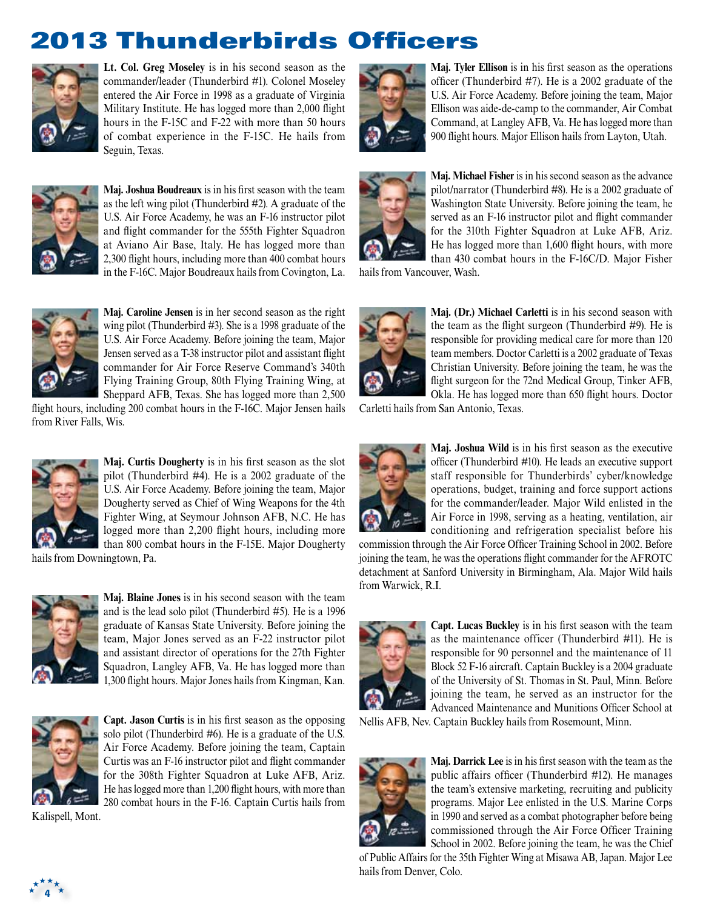# 2013 Thunderbirds Officers



**Lt. Col. Greg Moseley** is in his second season as the commander/leader (Thunderbird #1). Colonel Moseley entered the Air Force in 1998 as a graduate of Virginia Military Institute. He has logged more than 2,000 flight hours in the F-15C and F-22 with more than 50 hours of combat experience in the F-15C. He hails from Seguin, Texas.



**Maj. Joshua Boudreaux** is in his first season with the team as the left wing pilot (Thunderbird #2). A graduate of the U.S. Air Force Academy, he was an F-16 instructor pilot and flight commander for the 555th Fighter Squadron at Aviano Air Base, Italy. He has logged more than 2,300 flight hours, including more than 400 combat hours in the F-16C. Major Boudreaux hails from Covington, La.



**Maj. Caroline Jensen** is in her second season as the right wing pilot (Thunderbird #3). She is a 1998 graduate of the U.S. Air Force Academy. Before joining the team, Major Jensen served as a T-38 instructor pilot and assistant flight commander for Air Force Reserve Command's 340th Flying Training Group, 80th Flying Training Wing, at Sheppard AFB, Texas. She has logged more than 2,500

flight hours, including 200 combat hours in the F-16C. Major Jensen hails from River Falls, Wis.



**Maj. Curtis Dougherty** is in his first season as the slot pilot (Thunderbird #4). He is a 2002 graduate of the U.S. Air Force Academy. Before joining the team, Major Dougherty served as Chief of Wing Weapons for the 4th Fighter Wing, at Seymour Johnson AFB, N.C. He has logged more than 2,200 flight hours, including more than 800 combat hours in the F-15E. Major Dougherty

hails from Downingtown, Pa.



**Maj. Blaine Jones** is in his second season with the team and is the lead solo pilot (Thunderbird #5). He is a 1996 graduate of Kansas State University. Before joining the team, Major Jones served as an F-22 instructor pilot and assistant director of operations for the 27th Fighter Squadron, Langley AFB, Va. He has logged more than 1,300 flight hours. Major Jones hails from Kingman, Kan.



**Capt. Jason Curtis** is in his first season as the opposing solo pilot (Thunderbird #6). He is a graduate of the U.S. Air Force Academy. Before joining the team, Captain Curtis was an F-16 instructor pilot and flight commander for the 308th Fighter Squadron at Luke AFB, Ariz. He has logged more than 1,200 flight hours, with more than 280 combat hours in the F-16. Captain Curtis hails from

Kalispell, Mont.



**Maj. Tyler Ellison** is in his first season as the operations officer (Thunderbird #7). He is a 2002 graduate of the U.S. Air Force Academy. Before joining the team, Major Ellison was aide-de-camp to the commander, Air Combat Command, at Langley AFB, Va. He has logged more than 900 flight hours. Major Ellison hails from Layton, Utah.



**Maj. Michael Fisher** is in his second season as the advance pilot/narrator (Thunderbird #8). He is a 2002 graduate of Washington State University. Before joining the team, he served as an F-16 instructor pilot and flight commander for the 310th Fighter Squadron at Luke AFB, Ariz. He has logged more than 1,600 flight hours, with more than 430 combat hours in the F-16C/D. Major Fisher

hails from Vancouver, Wash.



**Maj. (Dr.) Michael Carletti** is in his second season with the team as the flight surgeon (Thunderbird #9). He is responsible for providing medical care for more than 120 team members. Doctor Carletti is a 2002 graduate of Texas Christian University. Before joining the team, he was the flight surgeon for the 72nd Medical Group, Tinker AFB, Okla. He has logged more than 650 flight hours. Doctor

Carletti hails from San Antonio, Texas.



**Maj. Joshua Wild** is in his first season as the executive officer (Thunderbird #10). He leads an executive support staff responsible for Thunderbirds' cyber/knowledge operations, budget, training and force support actions for the commander/leader. Major Wild enlisted in the Air Force in 1998, serving as a heating, ventilation, air conditioning and refrigeration specialist before his

commission through the Air Force Officer Training School in 2002. Before joining the team, he was the operations flight commander for the AFROTC detachment at Sanford University in Birmingham, Ala. Major Wild hails from Warwick, R.I.



**Capt. Lucas Buckley** is in his first season with the team as the maintenance officer (Thunderbird #11). He is responsible for 90 personnel and the maintenance of 11 Block 52 F-16 aircraft. Captain Buckley is a 2004 graduate of the University of St. Thomas in St. Paul, Minn. Before joining the team, he served as an instructor for the Advanced Maintenance and Munitions Officer School at

Nellis AFB, Nev. Captain Buckley hails from Rosemount, Minn.



**Maj. Darrick Lee** is in his first season with the team as the public affairs officer (Thunderbird #12). He manages the team's extensive marketing, recruiting and publicity programs. Major Lee enlisted in the U.S. Marine Corps in 1990 and served as a combat photographer before being commissioned through the Air Force Officer Training School in 2002. Before joining the team, he was the Chief

of Public Affairs for the 35th Fighter Wing at Misawa AB, Japan. Major Lee hails from Denver, Colo.

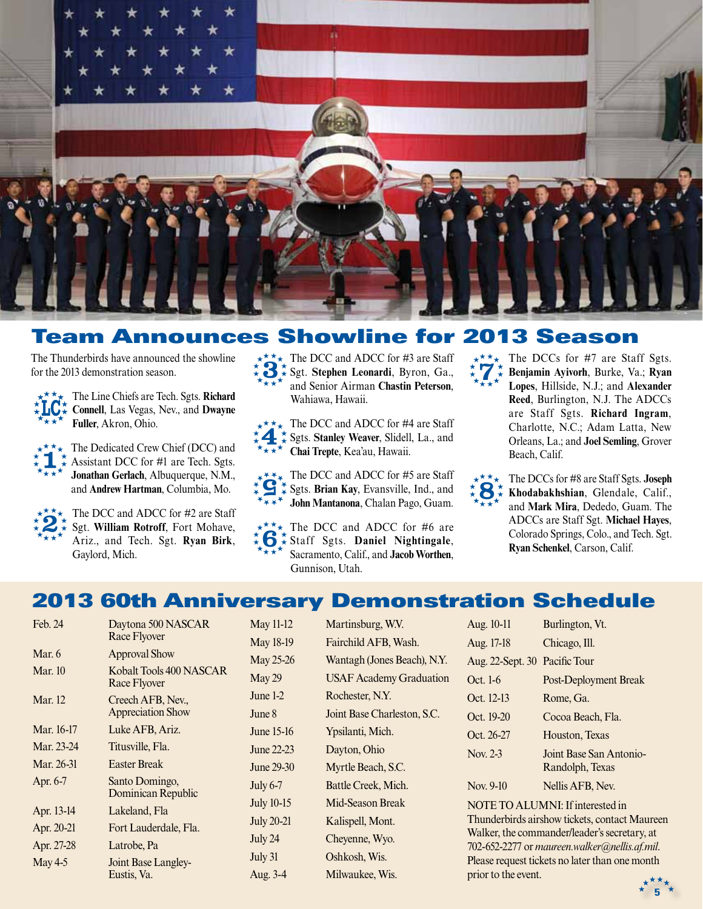

### Team Announces Showline for 2013 Season

The Thunderbirds have announced the showline for the 2013 demonstration season.

 $\star \star \star \star$  The Line Chiefs are Tech. Sgts. **Richard Connell**, Las Vegas, Nev., and **Dwayne LCFuller**, Akron, Ohio.

 $\star \atop{\star} \star \atop{\star} \star \atop{\star} \star \star$  The Dedicated Crew Chief (DCC) and  $\star$   $\atop{\star} \star \star$  Assistant DCC for #1 are Tech. Sgts.  $\star \sim$  Assistant DCC for #1 are Tech. Sgts. **Jonathan Gerlach**, Albuquerque, N.M., and **Andrew Hartman**, Columbia, Mo.



The DCC and ADCC for #2 are Staff Sgt. **William Rotroff**, Fort Mohave, Ariz., and Tech. Sgt. **Ryan Birk**, Gaylord, Mich.

The DCC and ADCC for #3 are Staff Sgt. **Stephen Leonardi**, Byron, Ga., and Senior Airman **Chastin Peterson**, Wahiawa, Hawaii.  $\star\star\star$ 

 $\star \star \star$  The DCC and ADCC for #4 are Staff Sgts. **Stanley Weaver**, Slidell, La., and **KAKA** Chai Trepte, Kea'au, Hawaii. 4

 $\sum_{k=1}^{k} \sum_{k=1}^{k} \sum_{k=1}^{k}$  Sgts. Brian Kay, Evansville, Ind., and  $\sum_{k=1}^{k} \sum_{k=1}^{k}$  John Mantanona Chalan Pago Guam Sgts. **Brian Kay**, Evansville, Ind., and **WAY** John Mantanona, Chalan Pago, Guam.

 $\star \star \star \star$  The DCC and ADCC for #6 are  $\star \atop{\star} \star \atop{\star} \star \atop{\star} \star \star \atop{\star} \star \star \star$  The DCC and ADCC for #6 are Sacramento, Calif., and **Jacob Worthen**, Gunnison, Utah.

The DCCs for #7 are Staff Sgts. **Benjamin Ayivorh**, Burke, Va.; **Ryan Lopes**, Hillside, N.J.; and **Alexander Reed**, Burlington, N.J. The ADCCs are Staff Sgts. **Richard Ingram**, Charlotte, N.C.; Adam Latta, New Orleans, La.; and **Joel Semling**, Grover Beach, Calif.  $\star \mathbf{r}^{\star \star}_{\star}$ 



The DCCs for #8 are Staff Sgts. **Joseph Khodabakhshian**, Glendale, Calif., and **Mark Mira**, Dededo, Guam. The ADCCs are Staff Sgt. **Michael Hayes**, Colorado Springs, Colo., and Tech. Sgt. **Ryan Schenkel**, Carson, Calif.

## 2013 60th Anniversary Demonstration Schedule

| Feb. 24        | Daytona 500 NASCAR<br><b>Race Flyover</b>     |
|----------------|-----------------------------------------------|
| Mar. 6         | <b>Approval Show</b>                          |
| Mar. $10$      | Kobalt Tools 400 NASCAR<br>Race Flyover       |
| <b>Mar.</b> 12 | Creech AFB, Nev.,<br><b>Appreciation Show</b> |
| Mar. 16-17     | Luke AFB, Ariz.                               |
| Mar. 23-24     | Titusville, Fla.                              |
| Mar. 26-31     | <b>Easter Break</b>                           |
| Apr. 6-7       | Santo Domingo,<br>Dominican Republic          |
| Apr. 13-14     | Lakeland, Fla                                 |
| Apr. 20-21     | Fort Lauderdale, Fla.                         |
| Apr. 27-28     | Latrobe, Pa                                   |
| May 4-5        | Joint Base Langley-<br>Eustis, Va.            |

May 11-12 Martinsburg, W.V. May 18-19 Fairchild AFB, Wash. May 25-26 Wantagh (Jones Beach), N.Y. May 29 USAF Academy Graduation June 1-2 Rochester, N.Y. June 8 Joint Base Charleston, S.C. June 15-16 Ypsilanti, Mich. June 22-23 Dayton, Ohio June 29-30 Myrtle Beach, S.C. July 6-7 Battle Creek, Mich. July 10-15 Mid-Season Break July 20-21 Kalispell, Mont. July 24 Cheyenne, Wyo. July 31 Oshkosh, Wis. Aug. 3-4 Milwaukee, Wis.

| Aug. 10-11                    | Burlington, Vt.                            |
|-------------------------------|--------------------------------------------|
| Aug. 17-18                    | Chicago, Ill.                              |
| Aug. 22-Sept. 30 Pacific Tour |                                            |
| Oct. 1-6                      | <b>Post-Deployment Break</b>               |
| Oct. 12-13                    | Rome, Ga.                                  |
| Oct. 19-20                    | Cocoa Beach, Fla.                          |
| Oct. 26-27                    | Houston, Texas                             |
| Nov. 2-3                      | Joint Base San Antonio-<br>Randolph, Texas |
| Nov. 9-10                     | Nellis AFB, Nev.                           |

NOTE TO ALUMNI: If interested in Thunderbirds airshow tickets, contact Maureen Walker, the commander/leader's secretary, at 702-652-2277 or *maureen.walker@nellis.af.mil*. Please request tickets no later than one month prior to the event.

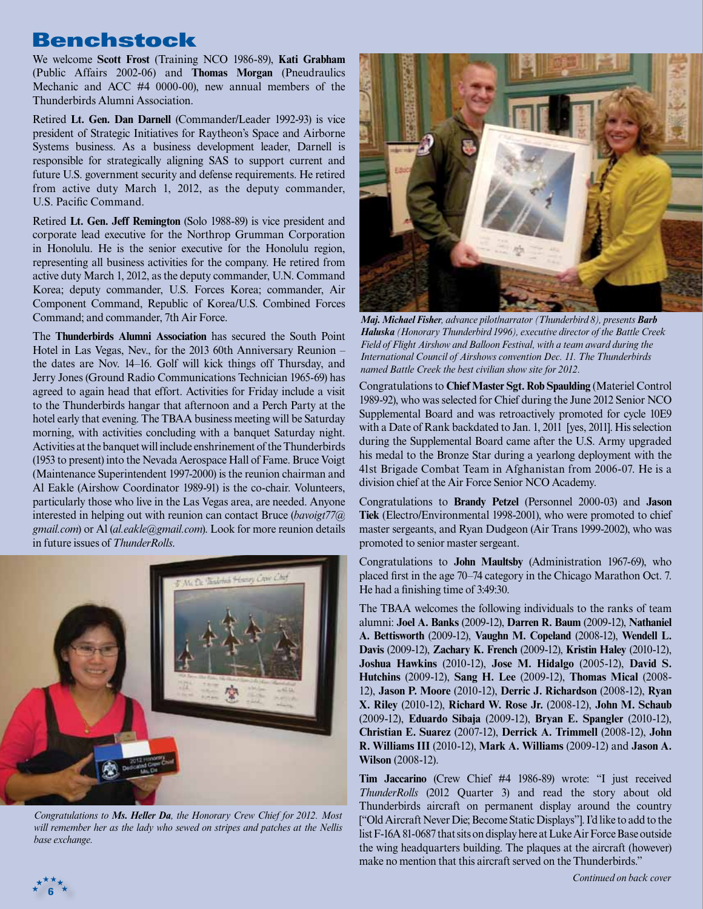## Benchstock

We welcome **Scott Frost** (Training NCO 1986-89), **Kati Grabham** (Public Affairs 2002-06) and **Thomas Morgan** (Pneudraulics Mechanic and ACC #4 0000-00), new annual members of the Thunderbirds Alumni Association.

Retired **Lt. Gen. Dan Darnell** (Commander/Leader 1992-93) is vice president of Strategic Initiatives for Raytheon's Space and Airborne Systems business. As a business development leader, Darnell is responsible for strategically aligning SAS to support current and future U.S. government security and defense requirements. He retired from active duty March 1, 2012, as the deputy commander, U.S. Pacific Command.

Retired **Lt. Gen. Jeff Remington** (Solo 1988-89) is vice president and corporate lead executive for the Northrop Grumman Corporation in Honolulu. He is the senior executive for the Honolulu region, representing all business activities for the company. He retired from active duty March 1, 2012, as the deputy commander, U.N. Command Korea; deputy commander, U.S. Forces Korea; commander, Air Component Command, Republic of Korea/U.S. Combined Forces Command; and commander, 7th Air Force.

The **Thunderbirds Alumni Association** has secured the South Point Hotel in Las Vegas, Nev., for the 2013 60th Anniversary Reunion – the dates are Nov. 14–16. Golf will kick things off Thursday, and Jerry Jones (Ground Radio Communications Technician 1965-69) has agreed to again head that effort. Activities for Friday include a visit to the Thunderbirds hangar that afternoon and a Perch Party at the hotel early that evening. The TBAA business meeting will be Saturday morning, with activities concluding with a banquet Saturday night. Activities at the banquet will include enshrinement of the Thunderbirds (1953 to present) into the Nevada Aerospace Hall of Fame. Bruce Voigt (Maintenance Superintendent 1997-2000) is the reunion chairman and Al Eakle (Airshow Coordinator 1989-91) is the co-chair. Volunteers, particularly those who live in the Las Vegas area, are needed. Anyone interested in helping out with reunion can contact Bruce (*bavoigt77@ gmail.com*) or Al (*al.eakle@gmail.com*). Look for more reunion details in future issues of *ThunderRolls*.



*Congratulations to Ms. Heller Da, the Honorary Crew Chief for 2012. Most will remember her as the lady who sewed on stripes and patches at the Nellis base exchange.* 

**6**



*Maj. Michael Fisher, advance pilot/narrator (Thunderbird 8), presents Barb Haluska (Honorary Thunderbird 1996), executive director of the Battle Creek Field of Flight Airshow and Balloon Festival, with a team award during the International Council of Airshows convention Dec. 11. The Thunderbirds named Battle Creek the best civilian show site for 2012.*

Congratulations to **Chief Master Sgt. Rob Spaulding** (Materiel Control 1989-92), who was selected for Chief during the June 2012 Senior NCO Supplemental Board and was retroactively promoted for cycle 10E9 with a Date of Rank backdated to Jan. 1, 2011 [yes, 2011]. His selection during the Supplemental Board came after the U.S. Army upgraded his medal to the Bronze Star during a yearlong deployment with the 41st Brigade Combat Team in Afghanistan from 2006-07. He is a division chief at the Air Force Senior NCO Academy.

Congratulations to **Brandy Petzel** (Personnel 2000-03) and **Jason Tiek** (Electro/Environmental 1998-2001), who were promoted to chief master sergeants, and Ryan Dudgeon (Air Trans 1999-2002), who was promoted to senior master sergeant.

Congratulations to **John Maultsby** (Administration 1967-69), who placed first in the age 70–74 category in the Chicago Marathon Oct. 7. He had a finishing time of 3:49:30.

The TBAA welcomes the following individuals to the ranks of team alumni: **Joel A. Banks** (2009-12), **Darren R. Baum** (2009-12), **Nathaniel A. Bettisworth** (2009-12), **Vaughn M. Copeland** (2008-12), **Wendell L. Davis** (2009-12), **Zachary K. French** (2009-12), **Kristin Haley** (2010-12), **Joshua Hawkins** (2010-12), **Jose M. Hidalgo** (2005-12), **David S. Hutchins** (2009-12), **Sang H. Lee** (2009-12), **Thomas Mical** (2008- 12), **Jason P. Moore** (2010-12), **Derric J. Richardson** (2008-12), **Ryan X. Riley** (2010-12), **Richard W. Rose Jr.** (2008-12), **John M. Schaub** (2009-12), **Eduardo Sibaja** (2009-12), **Bryan E. Spangler** (2010-12), **Christian E. Suarez** (2007-12), **Derrick A. Trimmell** (2008-12), **John R. Williams III** (2010-12), **Mark A. Williams** (2009-12) and **Jason A. Wilson** (2008-12).

**Tim Jaccarino** (Crew Chief #4 1986-89) wrote: "I just received *ThunderRolls* (2012 Quarter 3) and read the story about old Thunderbirds aircraft on permanent display around the country ["Old Aircraft Never Die; Become Static Displays"]. I'd like to add to the list F-16A 81-0687 that sits on display here at Luke Air Force Base outside the wing headquarters building. The plaques at the aircraft (however) make no mention that this aircraft served on the Thunderbirds."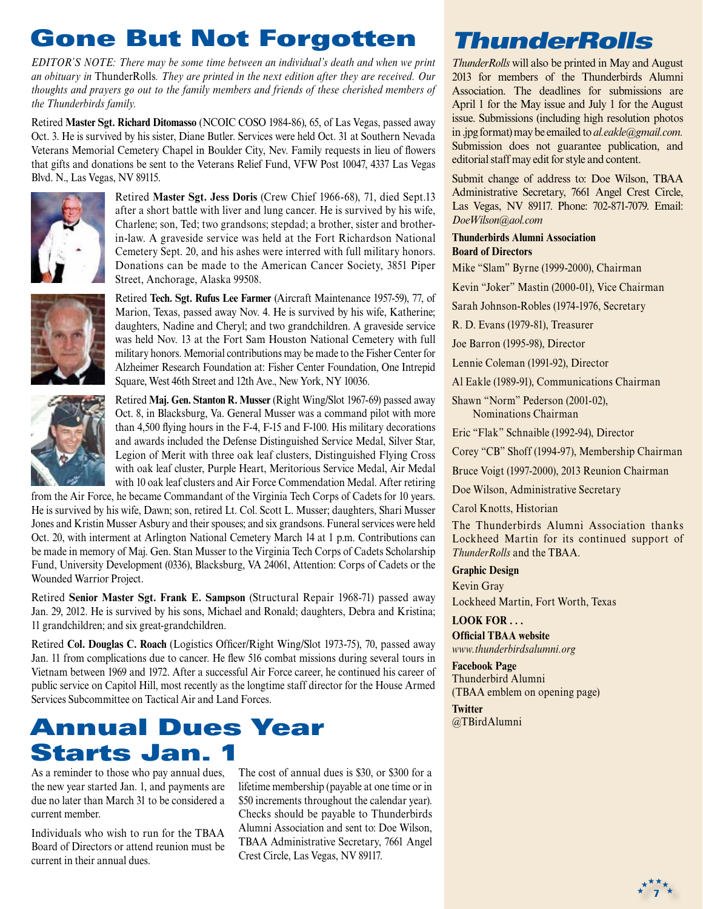# Gone But Not Forgotten

*EDITOR'S NOTE: There may be some time between an individual's death and when we print an obituary in* ThunderRolls*. They are printed in the next edition after they are received. Our thoughts and prayers go out to the family members and friends of these cherished members of the Thunderbirds family.*

Retired **Master Sgt. Richard Ditomasso** (NCOIC COSO 1984-86), 65, of Las Vegas, passed away Oct. 3. He is survived by his sister, Diane Butler. Services were held Oct. 31 at Southern Nevada Veterans Memorial Cemetery Chapel in Boulder City, Nev. Family requests in lieu of flowers that gifts and donations be sent to the Veterans Relief Fund, VFW Post 10047, 4337 Las Vegas Blvd. N., Las Vegas, NV 89115.



Retired **Master Sgt. Jess Doris** (Crew Chief 1966-68), 71, died Sept.13 after a short battle with liver and lung cancer. He is survived by his wife, Charlene; son, Ted; two grandsons; stepdad; a brother, sister and brotherin-law. A graveside service was held at the Fort Richardson National Cemetery Sept. 20, and his ashes were interred with full military honors. Donations can be made to the American Cancer Society, 3851 Piper Street, Anchorage, Alaska 99508.



Retired **Tech. Sgt. Rufus Lee Farmer** (Aircraft Maintenance 1957-59), 77, of Marion, Texas, passed away Nov. 4. He is survived by his wife, Katherine; daughters, Nadine and Cheryl; and two grandchildren. A graveside service was held Nov. 13 at the Fort Sam Houston National Cemetery with full military honors. Memorial contributions may be made to the Fisher Center for Alzheimer Research Foundation at: Fisher Center Foundation, One Intrepid Square, West 46th Street and 12th Ave., New York, NY 10036.



Retired **Maj. Gen. Stanton R. Musser** (Right Wing/Slot 1967-69) passed away Oct. 8, in Blacksburg, Va. General Musser was a command pilot with more than 4,500 flying hours in the F-4, F-15 and F-100. His military decorations and awards included the Defense Distinguished Service Medal, Silver Star, Legion of Merit with three oak leaf clusters, Distinguished Flying Cross with oak leaf cluster, Purple Heart, Meritorious Service Medal, Air Medal with 10 oak leaf clusters and Air Force Commendation Medal. After retiring

from the Air Force, he became Commandant of the Virginia Tech Corps of Cadets for 10 years. He is survived by his wife, Dawn; son, retired Lt. Col. Scott L. Musser; daughters, Shari Musser Jones and Kristin Musser Asbury and their spouses; and six grandsons. Funeral services were held Oct. 20, with interment at Arlington National Cemetery March 14 at 1 p.m. Contributions can be made in memory of Maj. Gen. Stan Musser to the Virginia Tech Corps of Cadets Scholarship Fund, University Development (0336), Blacksburg, VA 24061, Attention: Corps of Cadets or the Wounded Warrior Project.

Retired **Senior Master Sgt. Frank E. Sampson** (Structural Repair 1968-71) passed away Jan. 29, 2012. He is survived by his sons, Michael and Ronald; daughters, Debra and Kristina; 11 grandchildren; and six great-grandchildren.

Retired **Col. Douglas C. Roach** (Logistics Officer/Right Wing/Slot 1973-75), 70, passed away Jan. 11 from complications due to cancer. He flew 516 combat missions during several tours in Vietnam between 1969 and 1972. After a successful Air Force career, he continued his career of public service on Capitol Hill, most recently as the longtime staff director for the House Armed Services Subcommittee on Tactical Air and Land Forces.

## Annual Dues Year Starts Jan. 1

As a reminder to those who pay annual dues, the new year started Jan. 1, and payments are due no later than March 31 to be considered a current member.

Individuals who wish to run for the TBAA Board of Directors or attend reunion must be current in their annual dues.

The cost of annual dues is \$30, or \$300 for a lifetime membership (payable at one time or in \$50 increments throughout the calendar year). Checks should be payable to Thunderbirds Alumni Association and sent to: Doe Wilson, TBAA Administrative Secretary, 7661 Angel Crest Circle, Las Vegas, NV 89117.

# *ThunderRolls*

*ThunderRolls* will also be printed in May and August 2013 for members of the Thunderbirds Alumni Association. The deadlines for submissions are April 1 for the May issue and July 1 for the August issue. Submissions (including high resolution photos in .jpg format) may be emailed to *al.eakle@gmail.com.* Submission does not guarantee publication, and editorial staff may edit for style and content.

Submit change of address to: Doe Wilson, TBAA Administrative Secretary, 7661 Angel Crest Circle, Las Vegas, NV 89117. Phone: 702-871-7079. Email: *DoeWilson@aol.com*

#### **Thunderbirds Alumni Association Board of Directors**

Mike "Slam" Byrne (1999-2000), Chairman

Kevin "Joker" Mastin (2000-01), Vice Chairman

Sarah Johnson-Robles (1974-1976, Secretary

R. D. Evans (1979-81), Treasurer

Joe Barron (1995-98), Director

Lennie Coleman (1991-92), Director

Al Eakle (1989-91), Communications Chairman

Shawn "Norm" Pederson (2001-02), Nominations Chairman

Eric "Flak" Schnaible (1992-94), Director

Corey "CB" Shoff (1994-97), Membership Chairman

Bruce Voigt (1997-2000), 2013 Reunion Chairman

Doe Wilson, Administrative Secretary

Carol Knotts, Historian

The Thunderbirds Alumni Association thanks Lockheed Martin for its continued support of *ThunderRolls* and the TBAA.

**7**

**Graphic Design** Kevin Gray

Lockheed Martin, Fort Worth, Texas

#### **LOOK FOR . . .**

**Official TBAA website** *www.thunderbirdsalumni.org*

**Facebook Page** Thunderbird Alumni (TBAA emblem on opening page)

**Twitter** @TBirdAlumni